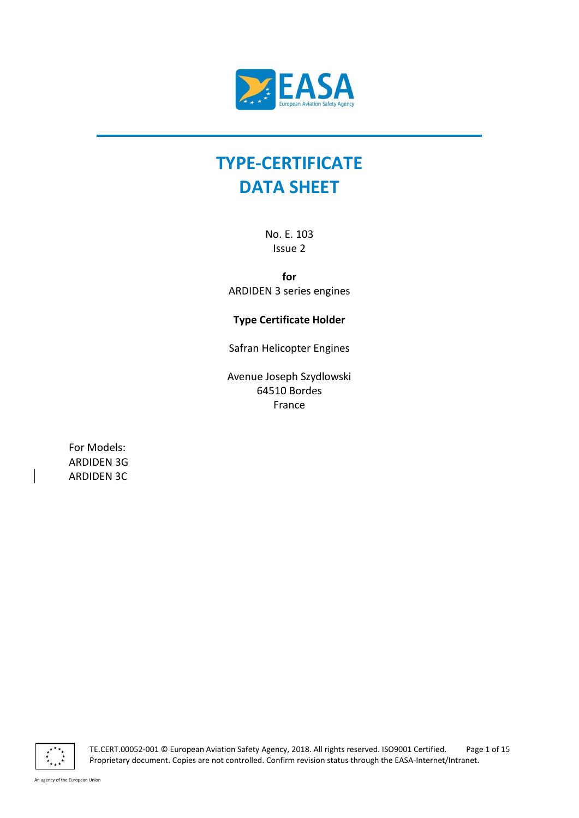

# **TYPE-CERTIFICATE DATA SHEET**

No. E. 103 Issue 2

**for** ARDIDEN 3 series engines

# **Type Certificate Holder**

Safran Helicopter Engines

Avenue Joseph Szydlowski 64510 Bordes France

For Models: ARDIDEN 3G ARDIDEN 3C



TE.CERT.00052-001 © European Aviation Safety Agency, 2018. All rights reserved. ISO9001 Certified. Page 1 of 15 Proprietary document. Copies are not controlled. Confirm revision status through the EASA-Internet/Intranet.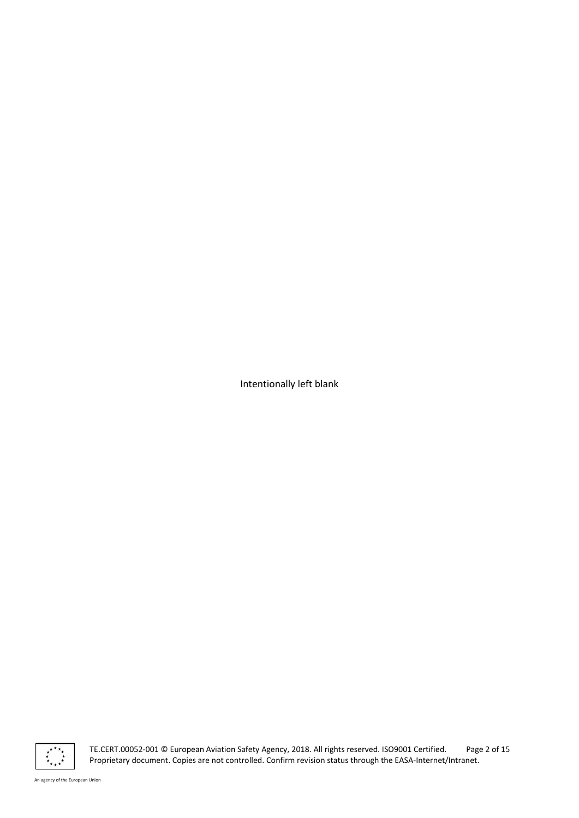Intentionally left blank



TE.CERT.00052-001 © European Aviation Safety Agency, 2018. All rights reserved. ISO9001 Certified. Page 2 of 15 Proprietary document. Copies are not controlled. Confirm revision status through the EASA-Internet/Intranet.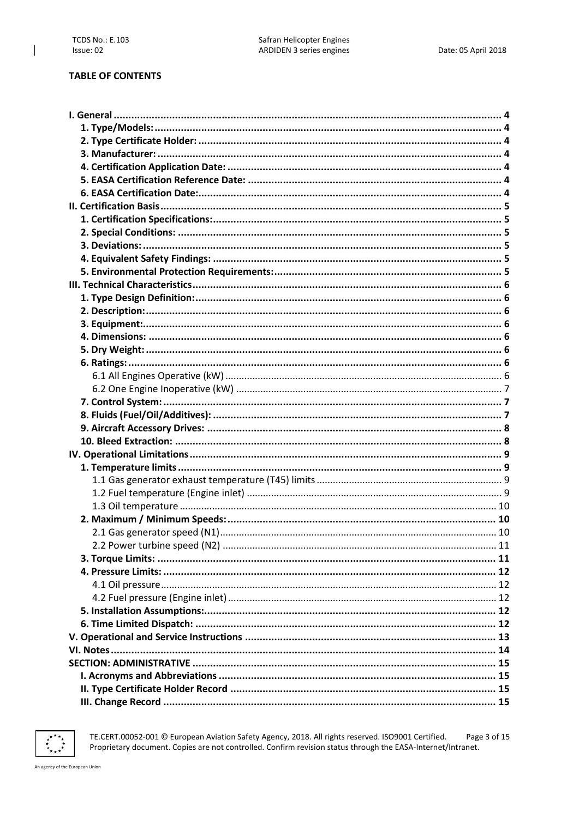# **TABLE OF CONTENTS**



TE.CERT.00052-001 © European Aviation Safety Agency, 2018. All rights reserved. ISO9001 Certified. Page 3 of 15 Proprietary document. Copies are not controlled. Confirm revision status through the EASA-Internet/Intranet.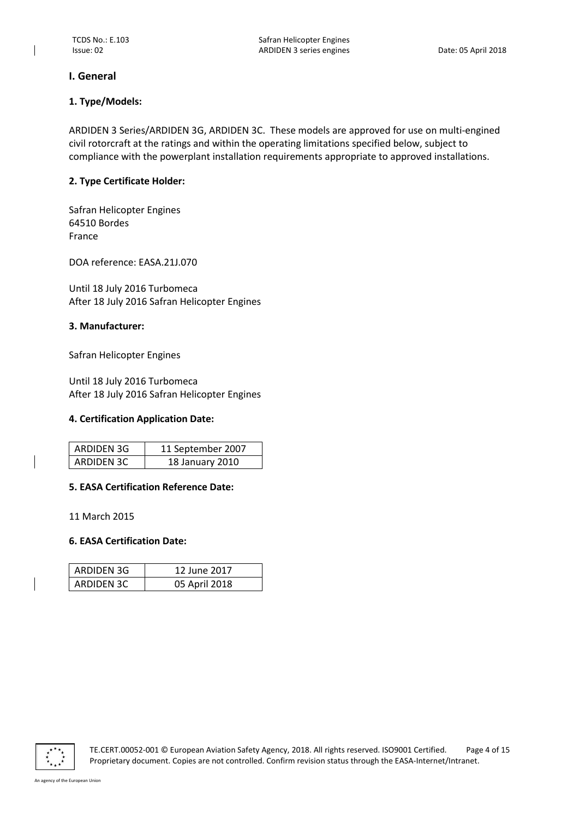# <span id="page-3-0"></span>**I. General**

# <span id="page-3-1"></span>**1. Type/Models:**

ARDIDEN 3 Series/ARDIDEN 3G, ARDIDEN 3C. These models are approved for use on multi-engined civil rotorcraft at the ratings and within the operating limitations specified below, subject to compliance with the powerplant installation requirements appropriate to approved installations.

# <span id="page-3-2"></span>**2. Type Certificate Holder:**

Safran Helicopter Engines 64510 Bordes France

DOA reference: EASA.21J.070

Until 18 July 2016 Turbomeca After 18 July 2016 Safran Helicopter Engines

## <span id="page-3-3"></span>**3. Manufacturer:**

Safran Helicopter Engines

Until 18 July 2016 Turbomeca After 18 July 2016 Safran Helicopter Engines

## <span id="page-3-4"></span>**4. Certification Application Date:**

| ARDIDEN 3G | 11 September 2007 |
|------------|-------------------|
| ARDIDEN 3C | 18 January 2010   |

## <span id="page-3-5"></span>**5. EASA Certification Reference Date:**

<span id="page-3-6"></span>11 March 2015

## **6. EASA Certification Date:**

| ARDIDEN 3G | 12 June 2017  |
|------------|---------------|
| ARDIDEN 3C | 05 April 2018 |

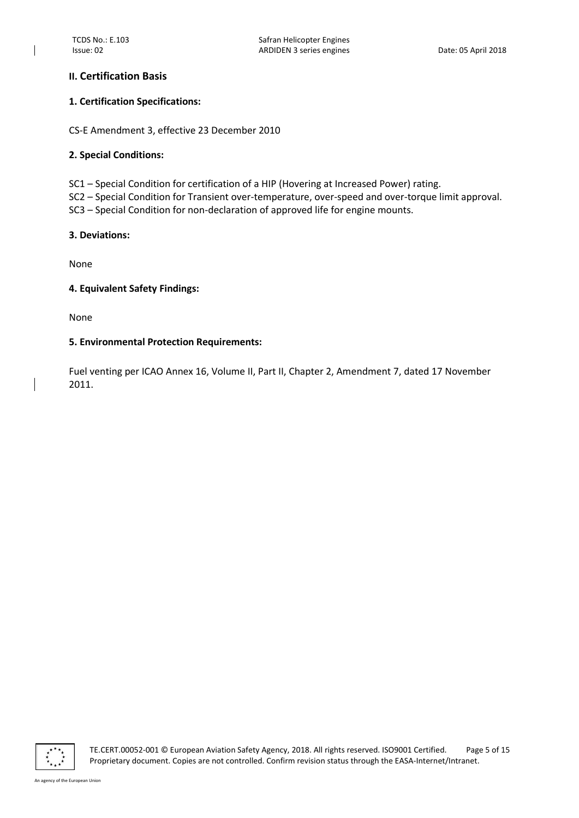## <span id="page-4-0"></span>**II. Certification Basis**

## <span id="page-4-1"></span>**1. Certification Specifications:**

<span id="page-4-2"></span>CS-E Amendment 3, effective 23 December 2010

## **2. Special Conditions:**

SC1 – Special Condition for certification of a HIP (Hovering at Increased Power) rating.

SC2 – Special Condition for Transient over-temperature, over-speed and over-torque limit approval.

SC3 – Special Condition for non-declaration of approved life for engine mounts.

## <span id="page-4-3"></span>**3. Deviations:**

<span id="page-4-4"></span>None

## **4. Equivalent Safety Findings:**

<span id="page-4-5"></span>None

## **5. Environmental Protection Requirements:**

Fuel venting per ICAO Annex 16, Volume II, Part II, Chapter 2, Amendment 7, dated 17 November 2011.



TE.CERT.00052-001 © European Aviation Safety Agency, 2018. All rights reserved. ISO9001 Certified. Page 5 of 15 Proprietary document. Copies are not controlled. Confirm revision status through the EASA-Internet/Intranet.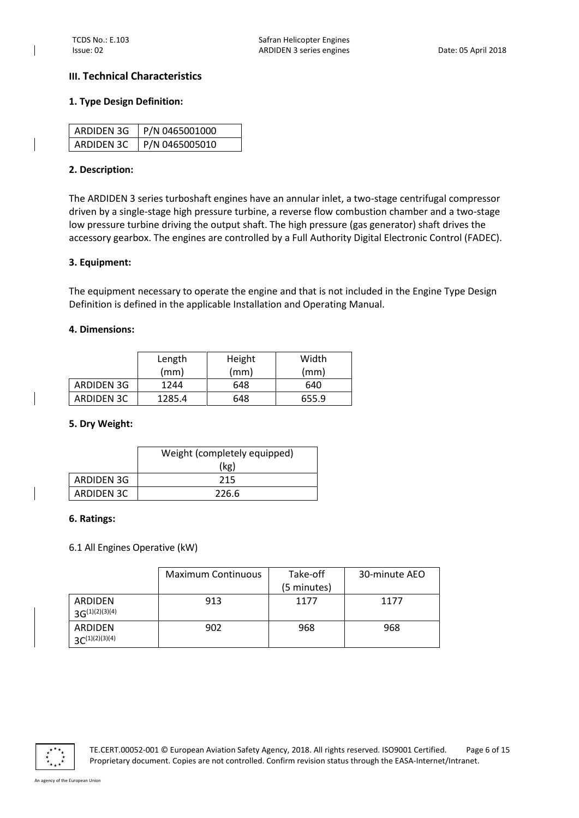## <span id="page-5-0"></span>**III. Technical Characteristics**

## <span id="page-5-1"></span>**1. Type Design Definition:**

| ARDIDEN 3G        | P/N 0465001000 |
|-------------------|----------------|
| <b>ARDIDEN 3C</b> | P/N 0465005010 |

## <span id="page-5-2"></span>**2. Description:**

The ARDIDEN 3 series turboshaft engines have an annular inlet, a two-stage centrifugal compressor driven by a single-stage high pressure turbine, a reverse flow combustion chamber and a two-stage low pressure turbine driving the output shaft. The high pressure (gas generator) shaft drives the accessory gearbox. The engines are controlled by a Full Authority Digital Electronic Control (FADEC).

#### <span id="page-5-3"></span>**3. Equipment:**

The equipment necessary to operate the engine and that is not included in the Engine Type Design Definition is defined in the applicable Installation and Operating Manual.

## <span id="page-5-4"></span>**4. Dimensions:**

|            | Length | Height | Width |
|------------|--------|--------|-------|
|            | (mm)   | (mm)   | (mm)  |
| ARDIDEN 3G | 1244   | 648    | 640   |
| ARDIDEN 3C | 1285.4 | 648    | 655.9 |

#### <span id="page-5-5"></span>**5. Dry Weight:**

|            | Weight (completely equipped) |
|------------|------------------------------|
|            | (kg)                         |
| ARDIDEN 3G | 215                          |
| ARDIDEN 3C | 226.6                        |

#### <span id="page-5-6"></span>**6. Ratings:**

#### <span id="page-5-7"></span>6.1 All Engines Operative (kW)

|                                | <b>Maximum Continuous</b> | Take-off    | 30-minute AEO |
|--------------------------------|---------------------------|-------------|---------------|
|                                |                           | (5 minutes) |               |
| ARDIDEN<br>$3G^{(1)(2)(3)(4)}$ | 913                       | 1177        | 1177          |
| ARDIDEN<br>$3C^{(1)(2)(3)(4)}$ | 902                       | 968         | 968           |

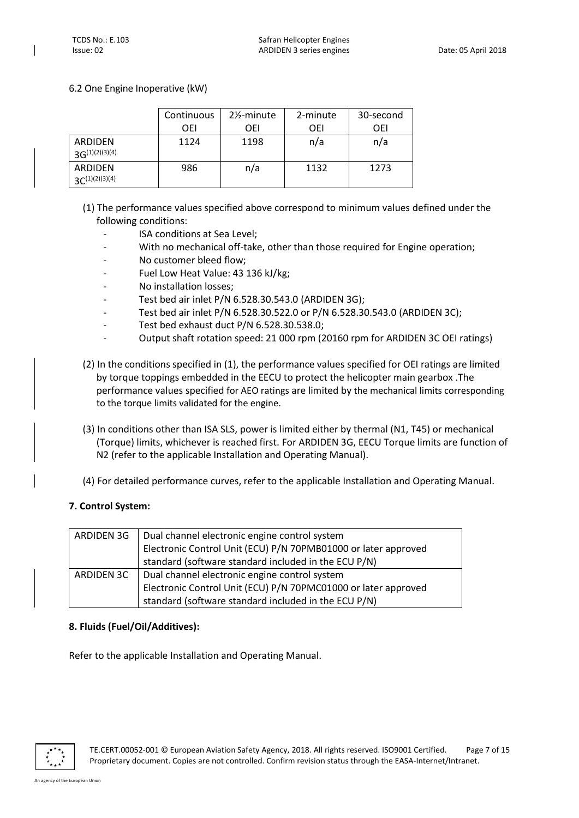## <span id="page-6-0"></span>6.2 One Engine Inoperative (kW)

|                                | Continuous<br>OEI | $2\frac{1}{2}$ -minute<br>OEI | 2-minute<br>OEI | 30-second<br>OEI |
|--------------------------------|-------------------|-------------------------------|-----------------|------------------|
| ARDIDEN<br>$3G^{(1)(2)(3)(4)}$ | 1124              | 1198                          | n/a             | n/a              |
| ARDIDEN<br>3(1)(2)(3)(4)       | 986               | n/a                           | 1132            | 1273             |

(1) The performance values specified above correspond to minimum values defined under the following conditions:

- ISA conditions at Sea Level;
- With no mechanical off-take, other than those required for Engine operation;
- No customer bleed flow;
- Fuel Low Heat Value: 43 136 kJ/kg;
- No installation losses;
- Test bed air inlet P/N 6.528.30.543.0 (ARDIDEN 3G);
- Test bed air inlet P/N 6.528.30.522.0 or P/N 6.528.30.543.0 (ARDIDEN 3C);
- Test bed exhaust duct P/N 6.528.30.538.0;
- Output shaft rotation speed: 21 000 rpm (20160 rpm for ARDIDEN 3C OEI ratings)
- (2) In the conditions specified in (1), the performance values specified for OEI ratings are limited by torque toppings embedded in the EECU to protect the helicopter main gearbox .The performance values specified for AEO ratings are limited by the mechanical limits corresponding to the torque limits validated for the engine.
- (3) In conditions other than ISA SLS, power is limited either by thermal (N1, T45) or mechanical (Torque) limits, whichever is reached first. For ARDIDEN 3G, EECU Torque limits are function of N2 (refer to the applicable Installation and Operating Manual).
- (4) For detailed performance curves, refer to the applicable Installation and Operating Manual.

#### <span id="page-6-1"></span>**7. Control System:**

| ARDIDEN 3G | Dual channel electronic engine control system                  |  |  |  |  |  |
|------------|----------------------------------------------------------------|--|--|--|--|--|
|            | Electronic Control Unit (ECU) P/N 70PMB01000 or later approved |  |  |  |  |  |
|            | standard (software standard included in the ECU P/N)           |  |  |  |  |  |
| ARDIDEN 3C | Dual channel electronic engine control system                  |  |  |  |  |  |
|            | Electronic Control Unit (ECU) P/N 70PMC01000 or later approved |  |  |  |  |  |
|            | standard (software standard included in the ECU P/N)           |  |  |  |  |  |

#### <span id="page-6-2"></span>**8. Fluids (Fuel/Oil/Additives):**

Refer to the applicable Installation and Operating Manual.

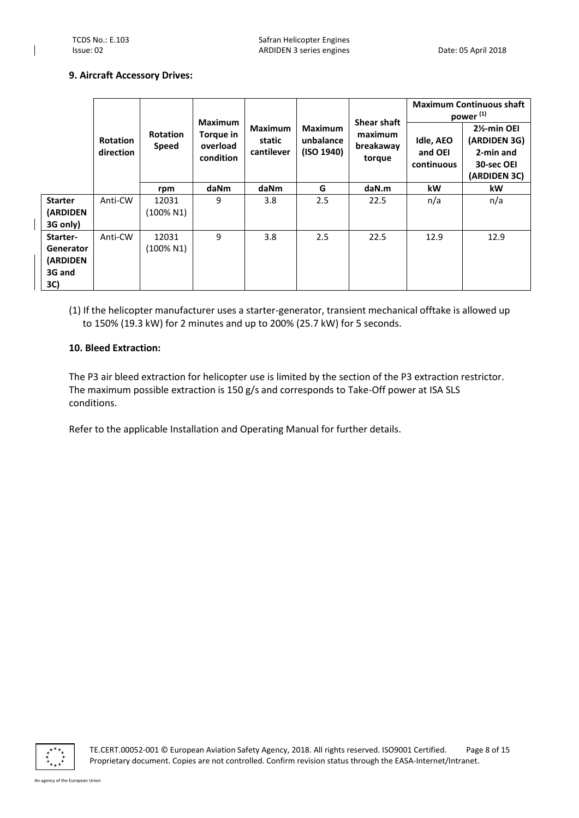## <span id="page-7-0"></span>**9. Aircraft Accessory Drives:**

|  |                                                                   |                              |                                 |                                                      |                                        | <b>Maximum Continuous shaft</b><br>power <sup>(1)</sup> |                                               |                                    |                                                                       |
|--|-------------------------------------------------------------------|------------------------------|---------------------------------|------------------------------------------------------|----------------------------------------|---------------------------------------------------------|-----------------------------------------------|------------------------------------|-----------------------------------------------------------------------|
|  |                                                                   | <b>Rotation</b><br>direction | <b>Rotation</b><br><b>Speed</b> | <b>Maximum</b><br>Torque in<br>overload<br>condition | <b>Maximum</b><br>static<br>cantilever | <b>Maximum</b><br>unbalance<br>(ISO 1940)               | Shear shaft<br>maximum<br>breakaway<br>torque | Idle, AEO<br>and OEI<br>continuous | 2½-min OEI<br>(ARDIDEN 3G)<br>2-min and<br>30-sec OEI<br>(ARDIDEN 3C) |
|  |                                                                   |                              | rpm                             | daNm                                                 | daNm                                   | G                                                       | daN.m                                         | kW                                 | <b>kW</b>                                                             |
|  | <b>Starter</b>                                                    | Anti-CW                      | 12031                           | 9                                                    | 3.8                                    | 2.5                                                     | 22.5                                          | n/a                                | n/a                                                                   |
|  | <b>(ARDIDEN</b>                                                   |                              | $(100\% N1)$                    |                                                      |                                        |                                                         |                                               |                                    |                                                                       |
|  | 3G only)                                                          |                              |                                 |                                                      |                                        |                                                         |                                               |                                    |                                                                       |
|  | Starter-<br>Generator<br><i><b>(ARDIDEN)</b></i><br>3G and<br>3C) | Anti-CW                      | 12031<br>$(100\% N1)$           | 9                                                    | 3.8                                    | 2.5                                                     | 22.5                                          | 12.9                               | 12.9                                                                  |

# (1) If the helicopter manufacturer uses a starter-generator, transient mechanical offtake is allowed up to 150% (19.3 kW) for 2 minutes and up to 200% (25.7 kW) for 5 seconds.

## <span id="page-7-1"></span>**10. Bleed Extraction:**

The P3 air bleed extraction for helicopter use is limited by the section of the P3 extraction restrictor. The maximum possible extraction is 150 g/s and corresponds to Take-Off power at ISA SLS conditions.

Refer to the applicable Installation and Operating Manual for further details.

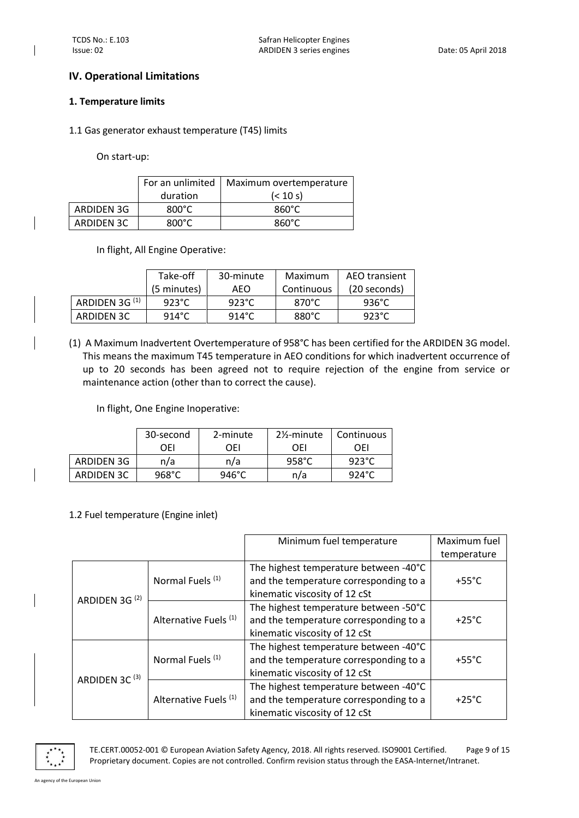# <span id="page-8-0"></span>**IV. Operational Limitations**

## <span id="page-8-1"></span>**1. Temperature limits**

<span id="page-8-2"></span>1.1 Gas generator exhaust temperature (T45) limits

On start-up:

|            |                 | For an unlimited   Maximum overtemperature |
|------------|-----------------|--------------------------------------------|
|            | duration        | (< 10 s)                                   |
| ARDIDEN 3G | $800^{\circ}$ C | 860°C                                      |
| ARDIDEN 3C | 800°C           | 860°C                                      |

In flight, All Engine Operative:

|                | Take-off         | 30-minute        | Maximum    | AEO transient   |
|----------------|------------------|------------------|------------|-----------------|
|                | (5 minutes)      | AFO              | Continuous | (20 seconds)    |
| ARDIDEN 3G (1) | 923 $^{\circ}$ C | 923 $^{\circ}$ C | 870°C      | $936^{\circ}$ C |
| ARDIDEN 3C     | 914 $^{\circ}$ C | $914^{\circ}$ C  | 880°C      | 923 $\degree$ C |

(1) A Maximum Inadvertent Overtemperature of 958°C has been certified for the ARDIDEN 3G model. This means the maximum T45 temperature in AEO conditions for which inadvertent occurrence of up to 20 seconds has been agreed not to require rejection of the engine from service or maintenance action (other than to correct the cause).

In flight, One Engine Inoperative:

|            | 30-second       | 2-minute         | 2 <sup>1</sup> / <sub>2</sub> -minute | Continuous       |
|------------|-----------------|------------------|---------------------------------------|------------------|
|            | OEI             | OEI              | OEI                                   | OEI              |
| ARDIDEN 3G | n/a             | n/a              | 958 $^{\circ}$ C                      | 923 $^{\circ}$ C |
| ARDIDEN 3C | $968^{\circ}$ C | 946 $^{\circ}$ C | n/a                                   | $924^{\circ}$ C  |

<span id="page-8-3"></span>1.2 Fuel temperature (Engine inlet)

|                           |                                  | Minimum fuel temperature               | Maximum fuel    |
|---------------------------|----------------------------------|----------------------------------------|-----------------|
|                           |                                  |                                        | temperature     |
|                           |                                  | The highest temperature between -40°C  |                 |
|                           | Normal Fuels <sup>(1)</sup>      | and the temperature corresponding to a | $+55^{\circ}$ C |
| ARDIDEN 3G <sup>(2)</sup> |                                  | kinematic viscosity of 12 cSt          |                 |
|                           |                                  | The highest temperature between -50°C  |                 |
|                           | Alternative Fuels <sup>(1)</sup> | and the temperature corresponding to a | $+25^{\circ}$ C |
|                           |                                  | kinematic viscosity of 12 cSt          |                 |
|                           |                                  | The highest temperature between -40°C  |                 |
|                           | Normal Fuels <sup>(1)</sup>      | and the temperature corresponding to a | $+55^{\circ}$ C |
| ARDIDEN 3C <sup>(3)</sup> |                                  | kinematic viscosity of 12 cSt          |                 |
|                           |                                  | The highest temperature between -40°C  |                 |
|                           | Alternative Fuels <sup>(1)</sup> | and the temperature corresponding to a |                 |
|                           |                                  | kinematic viscosity of 12 cSt          |                 |



TE.CERT.00052-001 © European Aviation Safety Agency, 2018. All rights reserved. ISO9001 Certified. Page 9 of 15 Proprietary document. Copies are not controlled. Confirm revision status through the EASA-Internet/Intranet.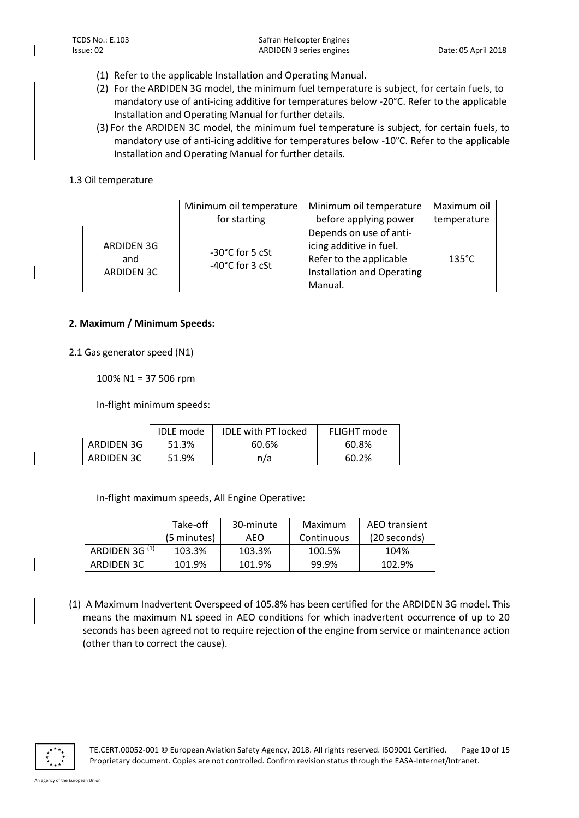- (1) Refer to the applicable Installation and Operating Manual.
- (2) For the ARDIDEN 3G model, the minimum fuel temperature is subject, for certain fuels, to mandatory use of anti-icing additive for temperatures below -20°C. Refer to the applicable Installation and Operating Manual for further details.
- (3) For the ARDIDEN 3C model, the minimum fuel temperature is subject, for certain fuels, to mandatory use of anti-icing additive for temperatures below -10°C. Refer to the applicable Installation and Operating Manual for further details.

## <span id="page-9-0"></span>1.3 Oil temperature

|                                        | Minimum oil temperature                      | Minimum oil temperature                                                                                                       | Maximum oil     |
|----------------------------------------|----------------------------------------------|-------------------------------------------------------------------------------------------------------------------------------|-----------------|
|                                        | for starting                                 | before applying power                                                                                                         | temperature     |
| ARDIDEN 3G<br>and<br><b>ARDIDEN 3C</b> | $-30^{\circ}$ C for 5 cSt<br>-40°C for 3 cSt | Depends on use of anti-<br>icing additive in fuel.<br>Refer to the applicable<br><b>Installation and Operating</b><br>Manual. | $135^{\circ}$ C |

#### <span id="page-9-1"></span>**2. Maximum / Minimum Speeds:**

<span id="page-9-2"></span>2.1 Gas generator speed (N1)

100% N1 = 37 506 rpm

In-flight minimum speeds:

|            | <b>IDLE</b> mode | <b>IDLE with PT locked</b> | FLIGHT mode |
|------------|------------------|----------------------------|-------------|
| ARDIDEN 3G | 51.3%            | 60.6%                      | 60.8%       |
| ARDIDEN 3C | 51.9%            | n/a                        | 60.2%       |

In-flight maximum speeds, All Engine Operative:

|                           | Take-off    | 30-minute | Maximum    | AEO transient |
|---------------------------|-------------|-----------|------------|---------------|
|                           | (5 minutes) | AEO       | Continuous | (20 seconds)  |
| ARDIDEN 3G <sup>(1)</sup> | 103.3%      | 103.3%    | 100.5%     | 104%          |
| ARDIDEN 3C                | 101.9%      | 101.9%    | 99.9%      | 102.9%        |

(1) A Maximum Inadvertent Overspeed of 105.8% has been certified for the ARDIDEN 3G model. This means the maximum N1 speed in AEO conditions for which inadvertent occurrence of up to 20 seconds has been agreed not to require rejection of the engine from service or maintenance action (other than to correct the cause).

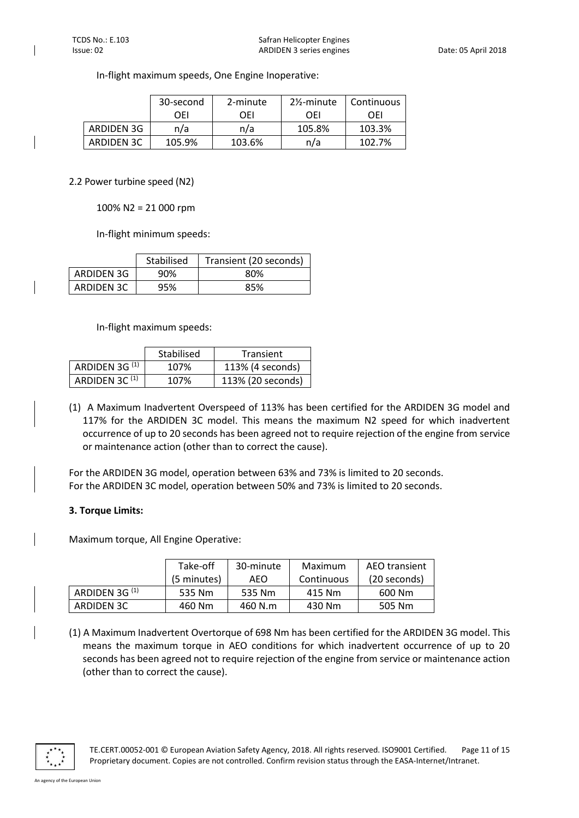In-flight maximum speeds, One Engine Inoperative:

|            | 30-second | 2-minute | 2 <sup>1</sup> / <sub>2</sub> -minute | Continuous |
|------------|-----------|----------|---------------------------------------|------------|
|            | OEI       | OEI      | OEI                                   | OEI        |
| ARDIDEN 3G | n/a       | n/a      | 105.8%                                | 103.3%     |
| ARDIDEN 3C | 105.9%    | 103.6%   | n/a                                   | 102.7%     |

<span id="page-10-0"></span>2.2 Power turbine speed (N2)

100% N2 = 21 000 rpm

In-flight minimum speeds:

|            | Stabilised | Transient (20 seconds) |
|------------|------------|------------------------|
| ARDIDEN 3G | 90%        | 80%                    |
| ARDIDEN 3C | 95%        | 85%                    |

In-flight maximum speeds:

|                           | Stabilised | Transient         |
|---------------------------|------------|-------------------|
| ARDIDEN 3G (1)            | 107%       | 113% (4 seconds)  |
| ARDIDEN 3C <sup>(1)</sup> | 107%       | 113% (20 seconds) |

(1) A Maximum Inadvertent Overspeed of 113% has been certified for the ARDIDEN 3G model and 117% for the ARDIDEN 3C model. This means the maximum N2 speed for which inadvertent occurrence of up to 20 seconds has been agreed not to require rejection of the engine from service or maintenance action (other than to correct the cause).

For the ARDIDEN 3G model, operation between 63% and 73% is limited to 20 seconds. For the ARDIDEN 3C model, operation between 50% and 73% is limited to 20 seconds.

## <span id="page-10-1"></span>**3. Torque Limits:**

Maximum torque, All Engine Operative:

|                           | Take-off    | 30-minute | Maximum    | AEO transient |
|---------------------------|-------------|-----------|------------|---------------|
|                           | (5 minutes) | AFO       | Continuous | (20 seconds)  |
| ARDIDEN 3G <sup>(1)</sup> | 535 Nm      | 535 Nm    | 415 Nm     | 600 Nm        |
| ARDIDEN 3C                | 460 Nm      | 460 N.m   | 430 Nm     | 505 Nm        |

(1) A Maximum Inadvertent Overtorque of 698 Nm has been certified for the ARDIDEN 3G model. This means the maximum torque in AEO conditions for which inadvertent occurrence of up to 20 seconds has been agreed not to require rejection of the engine from service or maintenance action (other than to correct the cause).



TE.CERT.00052-001 © European Aviation Safety Agency, 2018. All rights reserved. ISO9001 Certified. Page 11 of 15 Proprietary document. Copies are not controlled. Confirm revision status through the EASA-Internet/Intranet.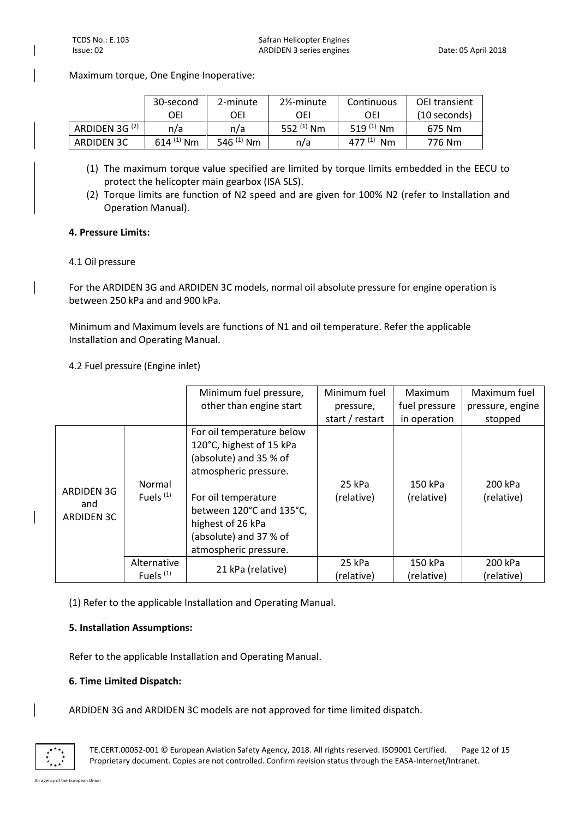Maximum torque, One Engine Inoperative:

|                           | 30-second    | 2-minute     | $2\frac{1}{2}$ -minute | Continuous   | OEI transient |
|---------------------------|--------------|--------------|------------------------|--------------|---------------|
|                           | OEI          | OEI          | OEI                    | OEI          | (10 seconds)  |
| ARDIDEN 3G <sup>(2)</sup> | n/a          | n/a          | 552 $(1)$ Nm           | 519 $(1)$ Nm | 675 Nm        |
| ARDIDEN 3C                | 614 $(1)$ Nm | 546 $(1)$ Nm | n/a                    | 477 $(1)$ Nm | 776 Nm        |

- (1) The maximum torque value specified are limited by torque limits embedded in the EECU to protect the helicopter main gearbox (ISA SLS).
- (2) Torque limits are function of N2 speed and are given for 100% N2 (refer to Installation and Operation Manual).

## <span id="page-11-0"></span>**4. Pressure Limits:**

## <span id="page-11-1"></span>4.1 Oil pressure

For the ARDIDEN 3G and ARDIDEN 3C models, normal oil absolute pressure for engine operation is between 250 kPa and and 900 kPa.

Minimum and Maximum levels are functions of N1 and oil temperature. Refer the applicable Installation and Operating Manual.

## <span id="page-11-2"></span>4.2 Fuel pressure (Engine inlet)

|                                 |                                     | Minimum fuel pressure,                                                                                                                                                                                                              | Minimum fuel         | Maximum               | Maximum fuel          |
|---------------------------------|-------------------------------------|-------------------------------------------------------------------------------------------------------------------------------------------------------------------------------------------------------------------------------------|----------------------|-----------------------|-----------------------|
|                                 |                                     | other than engine start                                                                                                                                                                                                             | pressure,            | fuel pressure         | pressure, engine      |
|                                 |                                     |                                                                                                                                                                                                                                     | start / restart      | in operation          | stopped               |
| ARDIDEN 3G<br>and<br>ARDIDEN 3C | Normal<br>Fuels $(1)$               | For oil temperature below<br>120°C, highest of 15 kPa<br>(absolute) and 35 % of<br>atmospheric pressure.<br>For oil temperature<br>between 120°C and 135°C,<br>highest of 26 kPa<br>(absolute) and 37 % of<br>atmospheric pressure. | 25 kPa<br>(relative) | 150 kPa<br>(relative) | 200 kPa<br>(relative) |
|                                 | Alternative<br>Fuels <sup>(1)</sup> | 21 kPa (relative)                                                                                                                                                                                                                   | 25 kPa<br>(relative) | 150 kPa<br>(relative) | 200 kPa<br>(relative) |

(1) Refer to the applicable Installation and Operating Manual.

## <span id="page-11-3"></span>**5. Installation Assumptions:**

<span id="page-11-4"></span>Refer to the applicable Installation and Operating Manual.

## **6. Time Limited Dispatch:**

ARDIDEN 3G and ARDIDEN 3C models are not approved for time limited dispatch.



TE.CERT.00052-001 © European Aviation Safety Agency, 2018. All rights reserved. ISO9001 Certified. Page 12 of 15 Proprietary document. Copies are not controlled. Confirm revision status through the EASA-Internet/Intranet.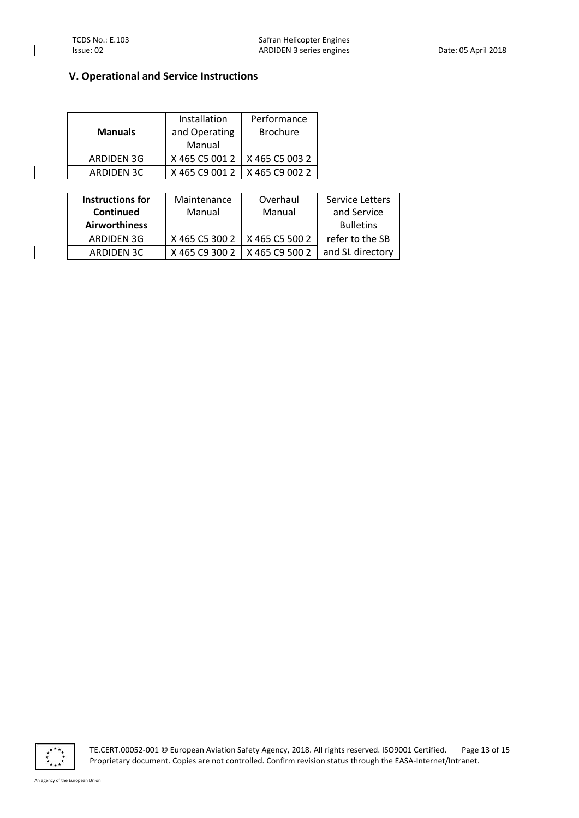$\overline{\phantom{a}}$ 

 $\overline{\phantom{a}}$ 

# <span id="page-12-0"></span>**V. Operational and Service Instructions**

| <b>Brochure</b><br>and Operating<br><b>Manuals</b> |  |
|----------------------------------------------------|--|
| Manual                                             |  |
| X 465 C5 003 2<br>X 465 C5 001 2<br>ARDIDEN 3G     |  |
| X 465 C9 002 2<br>X 465 C9 001 2<br>ARDIDEN 3C     |  |

| Instructions for     | Maintenance    | Overhaul       | Service Letters  |
|----------------------|----------------|----------------|------------------|
| <b>Continued</b>     | Manual         | Manual         | and Service      |
| <b>Airworthiness</b> |                |                | <b>Bulletins</b> |
| ARDIDEN 3G           | X 465 C5 300 2 | X 465 C5 500 2 | refer to the SB  |
| ARDIDEN 3C           | X 465 C9 300 2 | X 465 C9 500 2 | and SL directory |



TE.CERT.00052-001 © European Aviation Safety Agency, 2018. All rights reserved. ISO9001 Certified. Page 13 of 15 Proprietary document. Copies are not controlled. Confirm revision status through the EASA-Internet/Intranet.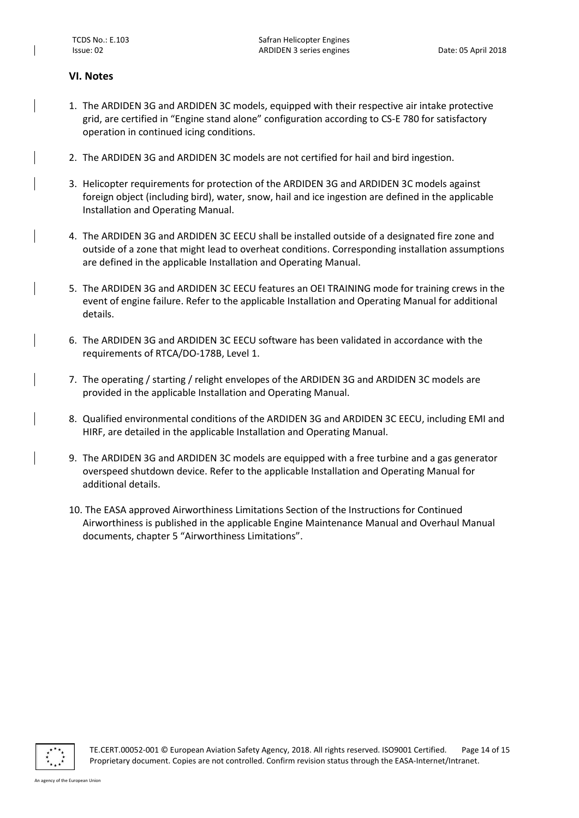# <span id="page-13-0"></span>**VI. Notes**

- 1. The ARDIDEN 3G and ARDIDEN 3C models, equipped with their respective air intake protective grid, are certified in "Engine stand alone" configuration according to CS-E 780 for satisfactory operation in continued icing conditions.
- 2. The ARDIDEN 3G and ARDIDEN 3C models are not certified for hail and bird ingestion.
- 3. Helicopter requirements for protection of the ARDIDEN 3G and ARDIDEN 3C models against foreign object (including bird), water, snow, hail and ice ingestion are defined in the applicable Installation and Operating Manual.
- 4. The ARDIDEN 3G and ARDIDEN 3C EECU shall be installed outside of a designated fire zone and outside of a zone that might lead to overheat conditions. Corresponding installation assumptions are defined in the applicable Installation and Operating Manual.
- 5. The ARDIDEN 3G and ARDIDEN 3C EECU features an OEI TRAINING mode for training crews in the event of engine failure. Refer to the applicable Installation and Operating Manual for additional details.
- 6. The ARDIDEN 3G and ARDIDEN 3C EECU software has been validated in accordance with the requirements of RTCA/DO-178B, Level 1.
- 7. The operating / starting / relight envelopes of the ARDIDEN 3G and ARDIDEN 3C models are provided in the applicable Installation and Operating Manual.
- 8. Qualified environmental conditions of the ARDIDEN 3G and ARDIDEN 3C EECU, including EMI and HIRF, are detailed in the applicable Installation and Operating Manual.
- 9. The ARDIDEN 3G and ARDIDEN 3C models are equipped with a free turbine and a gas generator overspeed shutdown device. Refer to the applicable Installation and Operating Manual for additional details.
- 10. The EASA approved Airworthiness Limitations Section of the Instructions for Continued Airworthiness is published in the applicable Engine Maintenance Manual and Overhaul Manual documents, chapter 5 "Airworthiness Limitations".



TE.CERT.00052-001 © European Aviation Safety Agency, 2018. All rights reserved. ISO9001 Certified. Page 14 of 15 Proprietary document. Copies are not controlled. Confirm revision status through the EASA-Internet/Intranet.